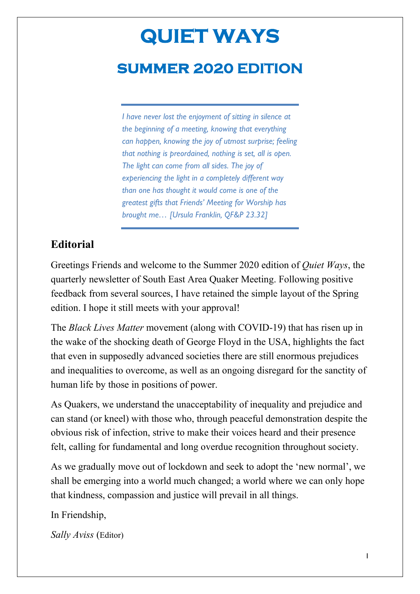# **QUIET WAYS summer 2020 EDITION**

*I have never lost the enjoyment of sitting in silence at the beginning of a meeting, knowing that everything can happen, knowing the joy of utmost surprise; feeling that nothing is preordained, nothing is set, all is open. The light can come from all sides. The joy of experiencing the light in a completely different way than one has thought it would come is one of the greatest gifts that Friends' Meeting for Worship has brought me… [Ursula Franklin, QF&P 23.32]*

### **Editorial**

Greetings Friends and welcome to the Summer 2020 edition of *Quiet Ways*, the quarterly newsletter of South East Area Quaker Meeting. Following positive feedback from several sources, I have retained the simple layout of the Spring edition. I hope it still meets with your approval!

The *Black Lives Matter* movement (along with COVID-19) that has risen up in the wake of the shocking death of George Floyd in the USA, highlights the fact that even in supposedly advanced societies there are still enormous prejudices and inequalities to overcome, as well as an ongoing disregard for the sanctity of human life by those in positions of power.

As Quakers, we understand the unacceptability of inequality and prejudice and can stand (or kneel) with those who, through peaceful demonstration despite the obvious risk of infection, strive to make their voices heard and their presence felt, calling for fundamental and long overdue recognition throughout society.

As we gradually move out of lockdown and seek to adopt the 'new normal', we shall be emerging into a world much changed; a world where we can only hope that kindness, compassion and justice will prevail in all things.

In Friendship,

*Sally Aviss* (Editor)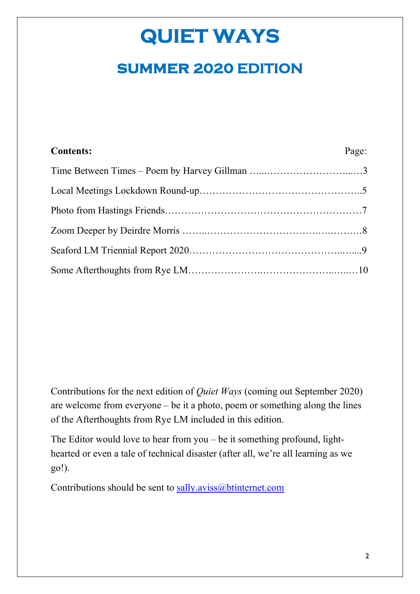## **summer 2020 EDITION**

| <b>Contents:</b> | Page: |
|------------------|-------|
|                  |       |
|                  |       |
|                  |       |
|                  |       |
|                  |       |
|                  |       |

Contributions for the next edition of *Quiet Ways* (coming out September 2020) are welcome from everyone – be it a photo, poem or something along the lines of the Afterthoughts from Rye LM included in this edition.

The Editor would love to hear from you – be it something profound, lighthearted or even a tale of technical disaster (after all, we're all learning as we go!).

Contributions should be sent to sally.aviss@btinternet.com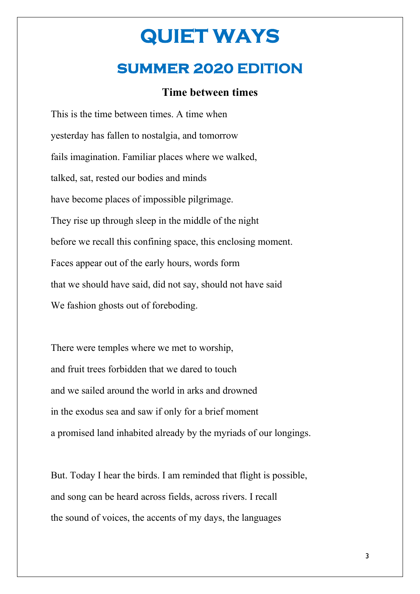## **summer 2020 EDITION**

#### **Time between times**

This is the time between times. A time when yesterday has fallen to nostalgia, and tomorrow fails imagination. Familiar places where we walked, talked, sat, rested our bodies and minds have become places of impossible pilgrimage. They rise up through sleep in the middle of the night before we recall this confining space, this enclosing moment. Faces appear out of the early hours, words form that we should have said, did not say, should not have said We fashion ghosts out of foreboding.

There were temples where we met to worship, and fruit trees forbidden that we dared to touch and we sailed around the world in arks and drowned in the exodus sea and saw if only for a brief moment a promised land inhabited already by the myriads of our longings.

But. Today I hear the birds. I am reminded that flight is possible, and song can be heard across fields, across rivers. I recall the sound of voices, the accents of my days, the languages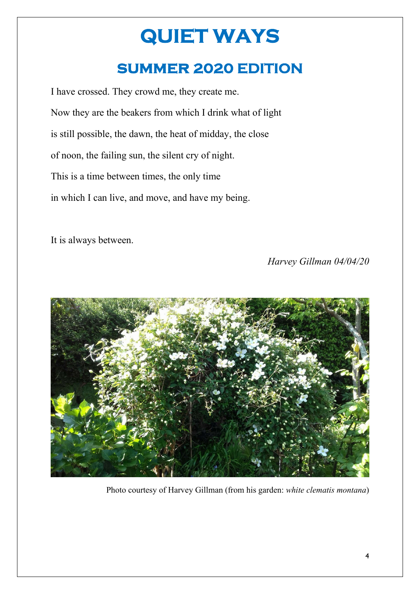## **summer 2020 EDITION**

I have crossed. They crowd me, they create me. Now they are the beakers from which I drink what of light is still possible, the dawn, the heat of midday, the close of noon, the failing sun, the silent cry of night. This is a time between times, the only time in which I can live, and move, and have my being.

It is always between.

*Harvey Gillman 04/04/20*



Photo courtesy of Harvey Gillman (from his garden: *white clematis montana*)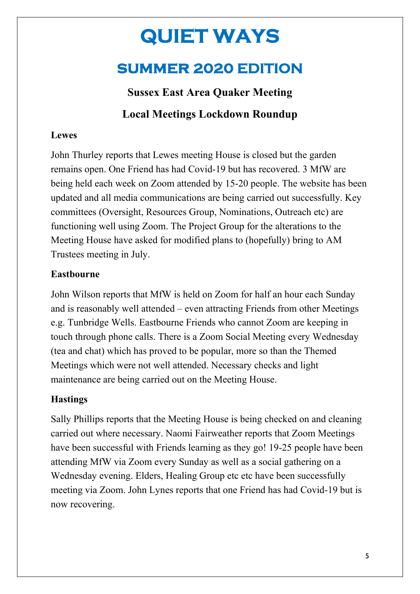## **summer 2020 EDITION**

## **Sussex East Area Quaker Meeting Local Meetings Lockdown Roundup**

#### **Lewes**

John Thurley reports that Lewes meeting House is closed but the garden remains open. One Friend has had Covid-19 but has recovered. 3 MfW are being held each week on Zoom attended by 15-20 people. The website has been updated and all media communications are being carried out successfully. Key committees (Oversight, Resources Group, Nominations, Outreach etc) are functioning well using Zoom. The Project Group for the alterations to the Meeting House have asked for modified plans to (hopefully) bring to AM Trustees meeting in July.

#### **Eastbourne**

John Wilson reports that MfW is held on Zoom for half an hour each Sunday and is reasonably well attended – even attracting Friends from other Meetings e.g. Tunbridge Wells. Eastbourne Friends who cannot Zoom are keeping in touch through phone calls. There is a Zoom Social Meeting every Wednesday (tea and chat) which has proved to be popular, more so than the Themed Meetings which were not well attended. Necessary checks and light maintenance are being carried out on the Meeting House.

#### **Hastings**

Sally Phillips reports that the Meeting House is being checked on and cleaning carried out where necessary. Naomi Fairweather reports that Zoom Meetings have been successful with Friends learning as they go! 19-25 people have been attending MfW via Zoom every Sunday as well as a social gathering on a Wednesday evening. Elders, Healing Group etc etc have been successfully meeting via Zoom. John Lynes reports that one Friend has had Covid-19 but is now recovering.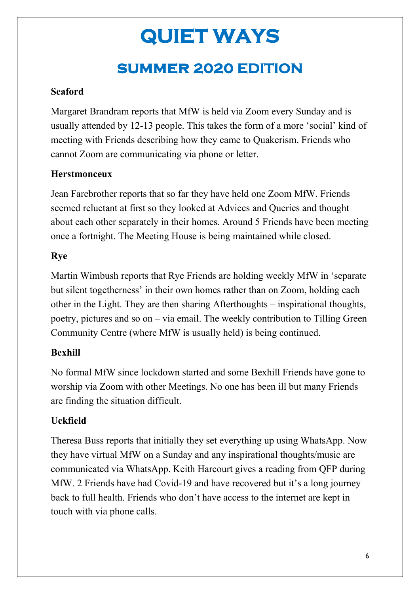## **summer 2020 EDITION**

### **Seaford**

Margaret Brandram reports that MfW is held via Zoom every Sunday and is usually attended by 12-13 people. This takes the form of a more 'social' kind of meeting with Friends describing how they came to Quakerism. Friends who cannot Zoom are communicating via phone or letter.

### **Herstmonceux**

Jean Farebrother reports that so far they have held one Zoom MfW. Friends seemed reluctant at first so they looked at Advices and Queries and thought about each other separately in their homes. Around 5 Friends have been meeting once a fortnight. The Meeting House is being maintained while closed.

### **Rye**

Martin Wimbush reports that Rye Friends are holding weekly MfW in 'separate but silent togetherness' in their own homes rather than on Zoom, holding each other in the Light. They are then sharing Afterthoughts – inspirational thoughts, poetry, pictures and so on – via email. The weekly contribution to Tilling Green Community Centre (where MfW is usually held) is being continued.

### **Bexhill**

No formal MfW since lockdown started and some Bexhill Friends have gone to worship via Zoom with other Meetings. No one has been ill but many Friends are finding the situation difficult.

### **Uckfield**

Theresa Buss reports that initially they set everything up using WhatsApp. Now they have virtual MfW on a Sunday and any inspirational thoughts/music are communicated via WhatsApp. Keith Harcourt gives a reading from QFP during MfW. 2 Friends have had Covid-19 and have recovered but it's a long journey back to full health. Friends who don't have access to the internet are kept in touch with via phone calls.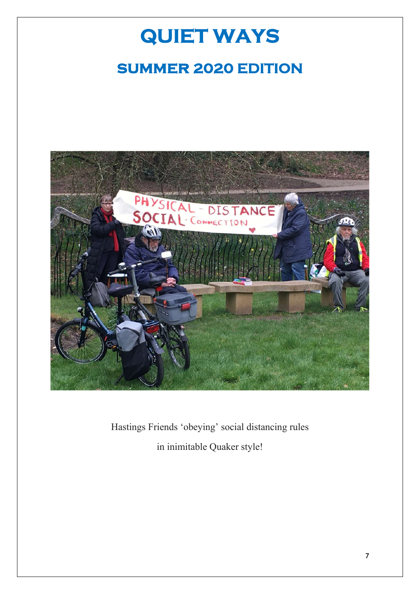# **QUIET WAYS summer 2020 EDITION**



Hastings Friends 'obeying' social distancing rules in inimitable Quaker style!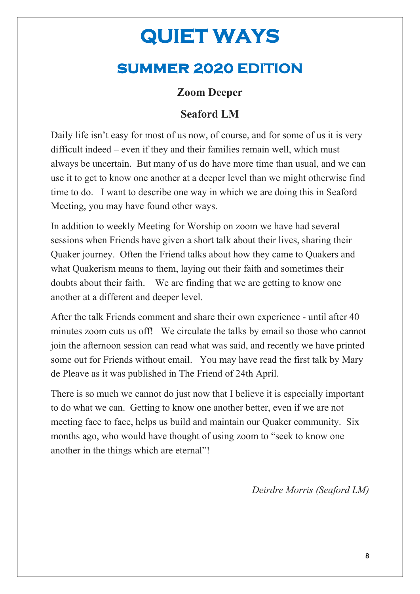## **summer 2020 EDITION**

### **Zoom Deeper**

### **Seaford LM**

Daily life isn't easy for most of us now, of course, and for some of us it is very difficult indeed – even if they and their families remain well, which must always be uncertain. But many of us do have more time than usual, and we can use it to get to know one another at a deeper level than we might otherwise find time to do. I want to describe one way in which we are doing this in Seaford Meeting, you may have found other ways.

In addition to weekly Meeting for Worship on zoom we have had several sessions when Friends have given a short talk about their lives, sharing their Quaker journey. Often the Friend talks about how they came to Quakers and what Quakerism means to them, laying out their faith and sometimes their doubts about their faith. We are finding that we are getting to know one another at a different and deeper level.

After the talk Friends comment and share their own experience - until after 40 minutes zoom cuts us off! We circulate the talks by email so those who cannot join the afternoon session can read what was said, and recently we have printed some out for Friends without email. You may have read the first talk by Mary de Pleave as it was published in The Friend of 24th April.

There is so much we cannot do just now that I believe it is especially important to do what we can. Getting to know one another better, even if we are not meeting face to face, helps us build and maintain our Quaker community. Six months ago, who would have thought of using zoom to "seek to know one another in the things which are eternal"!

#### *Deirdre Morris (Seaford LM)*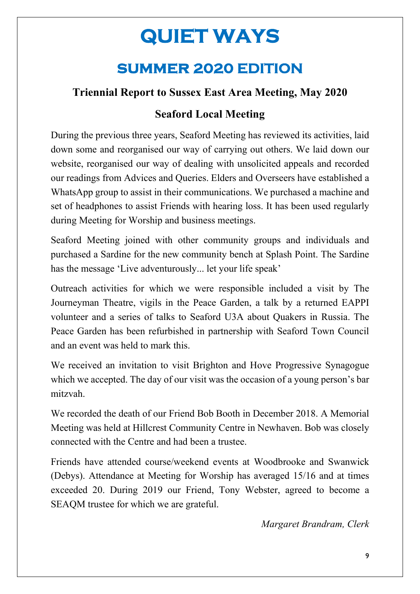## **summer 2020 EDITION**

### **Triennial Report to Sussex East Area Meeting, May 2020**

### **Seaford Local Meeting**

During the previous three years, Seaford Meeting has reviewed its activities, laid down some and reorganised our way of carrying out others. We laid down our website, reorganised our way of dealing with unsolicited appeals and recorded our readings from Advices and Queries. Elders and Overseers have established a WhatsApp group to assist in their communications. We purchased a machine and set of headphones to assist Friends with hearing loss. It has been used regularly during Meeting for Worship and business meetings.

Seaford Meeting joined with other community groups and individuals and purchased a Sardine for the new community bench at Splash Point. The Sardine has the message 'Live adventurously... let your life speak'

Outreach activities for which we were responsible included a visit by The Journeyman Theatre, vigils in the Peace Garden, a talk by a returned EAPPI volunteer and a series of talks to Seaford U3A about Quakers in Russia. The Peace Garden has been refurbished in partnership with Seaford Town Council and an event was held to mark this.

We received an invitation to visit Brighton and Hove Progressive Synagogue which we accepted. The day of our visit was the occasion of a young person's bar mitzvah.

We recorded the death of our Friend Bob Booth in December 2018. A Memorial Meeting was held at Hillcrest Community Centre in Newhaven. Bob was closely connected with the Centre and had been a trustee.

Friends have attended course/weekend events at Woodbrooke and Swanwick (Debys). Attendance at Meeting for Worship has averaged 15/16 and at times exceeded 20. During 2019 our Friend, Tony Webster, agreed to become a SEAQM trustee for which we are grateful.

*Margaret Brandram, Clerk*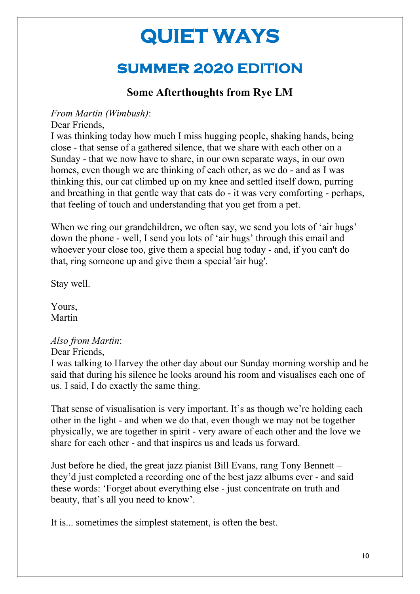## **summer 2020 EDITION**

### **Some Afterthoughts from Rye LM**

#### *From Martin (Wimbush)*:

Dear Friends,

I was thinking today how much I miss hugging people, shaking hands, being close - that sense of a gathered silence, that we share with each other on a Sunday - that we now have to share, in our own separate ways, in our own homes, even though we are thinking of each other, as we do - and as I was thinking this, our cat climbed up on my knee and settled itself down, purring and breathing in that gentle way that cats do - it was very comforting - perhaps, that feeling of touch and understanding that you get from a pet.

When we ring our grandchildren, we often say, we send you lots of 'air hugs' down the phone - well, I send you lots of 'air hugs' through this email and whoever your close too, give them a special hug today - and, if you can't do that, ring someone up and give them a special 'air hug'.

Stay well.

Yours, Martin

#### *Also from Martin*:

Dear Friends,

I was talking to Harvey the other day about our Sunday morning worship and he said that during his silence he looks around his room and visualises each one of us. I said, I do exactly the same thing.

That sense of visualisation is very important. It's as though we're holding each other in the light - and when we do that, even though we may not be together physically, we are together in spirit - very aware of each other and the love we share for each other - and that inspires us and leads us forward.

Just before he died, the great jazz pianist Bill Evans, rang Tony Bennett – they'd just completed a recording one of the best jazz albums ever - and said these words: 'Forget about everything else - just concentrate on truth and beauty, that's all you need to know'.

It is... sometimes the simplest statement, is often the best.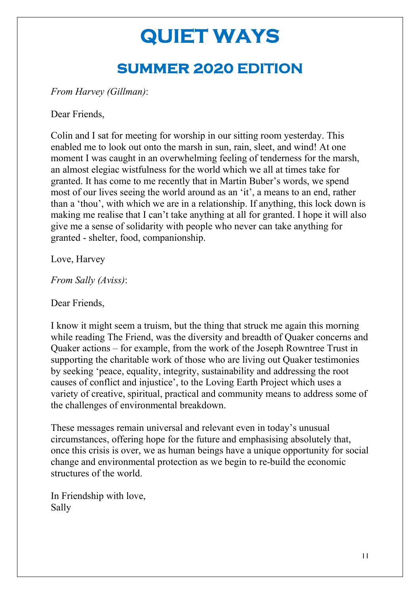# **QUIET WAYS summer 2020 EDITION**

*From Harvey (Gillman)*:

Dear Friends,

Colin and I sat for meeting for worship in our sitting room yesterday. This enabled me to look out onto the marsh in sun, rain, sleet, and wind! At one moment I was caught in an overwhelming feeling of tenderness for the marsh, an almost elegiac wistfulness for the world which we all at times take for granted. It has come to me recently that in Martin Buber's words, we spend most of our lives seeing the world around as an 'it', a means to an end, rather than a 'thou', with which we are in a relationship. If anything, this lock down is making me realise that I can't take anything at all for granted. I hope it will also give me a sense of solidarity with people who never can take anything for granted - shelter, food, companionship.

Love, Harvey

*From Sally (Aviss)*:

Dear Friends,

I know it might seem a truism, but the thing that struck me again this morning while reading The Friend, was the diversity and breadth of Quaker concerns and Quaker actions – for example, from the work of the Joseph Rowntree Trust in supporting the charitable work of those who are living out Quaker testimonies by seeking 'peace, equality, integrity, sustainability and addressing the root causes of conflict and injustice', to the Loving Earth Project which uses a variety of creative, spiritual, practical and community means to address some of the challenges of environmental breakdown.

These messages remain universal and relevant even in today's unusual circumstances, offering hope for the future and emphasising absolutely that, once this crisis is over, we as human beings have a unique opportunity for social change and environmental protection as we begin to re-build the economic structures of the world.

In Friendship with love, Sally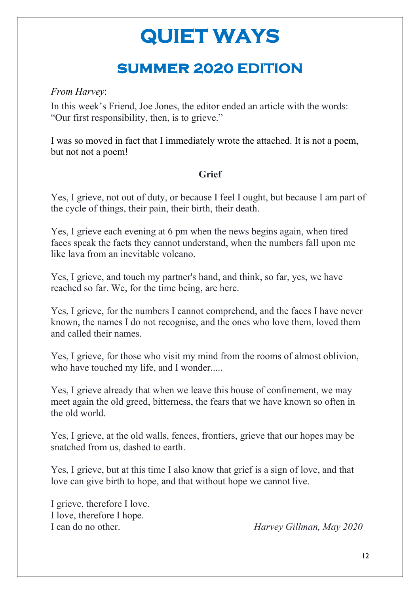## **summer 2020 EDITION**

#### *From Harvey*:

In this week's Friend, Joe Jones, the editor ended an article with the words: "Our first responsibility, then, is to grieve."

I was so moved in fact that I immediately wrote the attached. It is not a poem, but not not a poem!

#### **Grief**

Yes, I grieve, not out of duty, or because I feel I ought, but because I am part of the cycle of things, their pain, their birth, their death.

Yes, I grieve each evening at 6 pm when the news begins again, when tired faces speak the facts they cannot understand, when the numbers fall upon me like lava from an inevitable volcano.

Yes, I grieve, and touch my partner's hand, and think, so far, yes, we have reached so far. We, for the time being, are here.

Yes, I grieve, for the numbers I cannot comprehend, and the faces I have never known, the names I do not recognise, and the ones who love them, loved them and called their names.

Yes, I grieve, for those who visit my mind from the rooms of almost oblivion, who have touched my life, and I wonder.....

Yes, I grieve already that when we leave this house of confinement, we may meet again the old greed, bitterness, the fears that we have known so often in the old world.

Yes, I grieve, at the old walls, fences, frontiers, grieve that our hopes may be snatched from us, dashed to earth.

Yes, I grieve, but at this time I also know that grief is a sign of love, and that love can give birth to hope, and that without hope we cannot live.

I grieve, therefore I love. I love, therefore I hope.

I can do no other. *Harvey Gillman, May 2020*